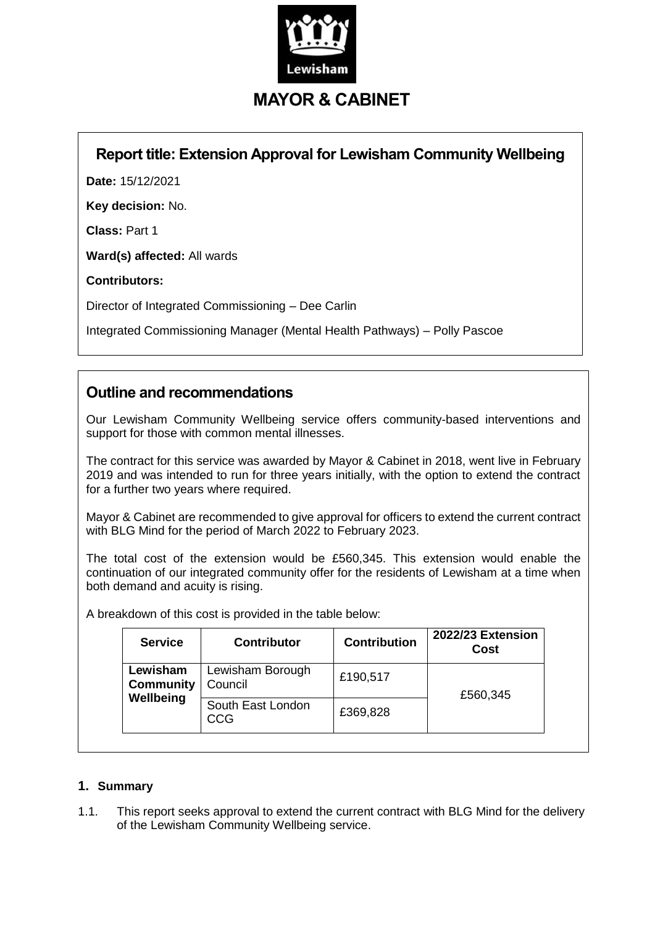

# **MAYOR & CABINET**

## **Report title: Extension Approval for Lewisham Community Wellbeing**

**Date:** 15/12/2021

**Key decision:** No.

**Class:** Part 1

**Ward(s) affected:** All wards

**Contributors:**

Director of Integrated Commissioning – Dee Carlin

Integrated Commissioning Manager (Mental Health Pathways) – Polly Pascoe

## **Outline and recommendations**

Our Lewisham Community Wellbeing service offers community-based interventions and support for those with common mental illnesses.

The contract for this service was awarded by Mayor & Cabinet in 2018, went live in February 2019 and was intended to run for three years initially, with the option to extend the contract for a further two years where required.

Mayor & Cabinet are recommended to give approval for officers to extend the current contract with BLG Mind for the period of March 2022 to February 2023.

The total cost of the extension would be £560,345. This extension would enable the continuation of our integrated community offer for the residents of Lewisham at a time when both demand and acuity is rising.

A breakdown of this cost is provided in the table below:

| <b>Service</b>                            | <b>Contributor</b>              | <b>Contribution</b> | 2022/23 Extension<br>Cost |
|-------------------------------------------|---------------------------------|---------------------|---------------------------|
| Lewisham<br><b>Community</b><br>Wellbeing | Lewisham Borough<br>Council     | £190,517            | £560,345                  |
|                                           | South East London<br><b>CCG</b> | £369,828            |                           |

### **1. Summary**

1.1. This report seeks approval to extend the current contract with BLG Mind for the delivery of the Lewisham Community Wellbeing service.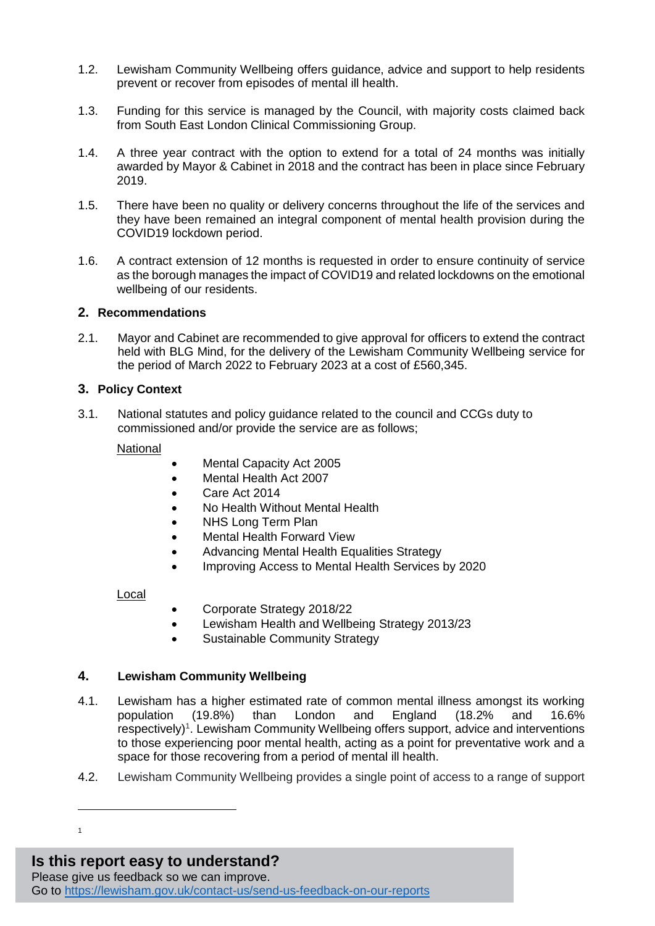- 1.2. Lewisham Community Wellbeing offers guidance, advice and support to help residents prevent or recover from episodes of mental ill health.
- 1.3. Funding for this service is managed by the Council, with majority costs claimed back from South East London Clinical Commissioning Group.
- 1.4. A three year contract with the option to extend for a total of 24 months was initially awarded by Mayor & Cabinet in 2018 and the contract has been in place since February 2019.
- 1.5. There have been no quality or delivery concerns throughout the life of the services and they have been remained an integral component of mental health provision during the COVID19 lockdown period.
- 1.6. A contract extension of 12 months is requested in order to ensure continuity of service as the borough manages the impact of COVID19 and related lockdowns on the emotional wellbeing of our residents.

#### **2. Recommendations**

2.1. Mayor and Cabinet are recommended to give approval for officers to extend the contract held with BLG Mind, for the delivery of the Lewisham Community Wellbeing service for the period of March 2022 to February 2023 at a cost of £560,345.

#### **3. Policy Context**

3.1. National statutes and policy guidance related to the council and CCGs duty to commissioned and/or provide the service are as follows;

#### **National**

- Mental Capacity Act 2005
- Mental Health Act 2007
- Care Act 2014
- No Health Without Mental Health
- NHS Long Term Plan
- Mental Health Forward View
- Advancing Mental Health Equalities Strategy
- Improving Access to Mental Health Services by 2020

#### Local

- Corporate Strategy 2018/22
- Lewisham Health and Wellbeing Strategy 2013/23
- Sustainable Community Strategy

#### **4. Lewisham Community Wellbeing**

- 4.1. Lewisham has a higher estimated rate of common mental illness amongst its working population (19.8%) than London and England (18.2% and 16.6% respectively)<sup>1</sup>. Lewisham Community Wellbeing offers support, advice and interventions to those experiencing poor mental health, acting as a point for preventative work and a space for those recovering from a period of mental ill health.
- 4.2. Lewisham Community Wellbeing provides a single point of access to a range of support

## **Is this report easy to understand?**

Please give us feedback so we can improve.

 1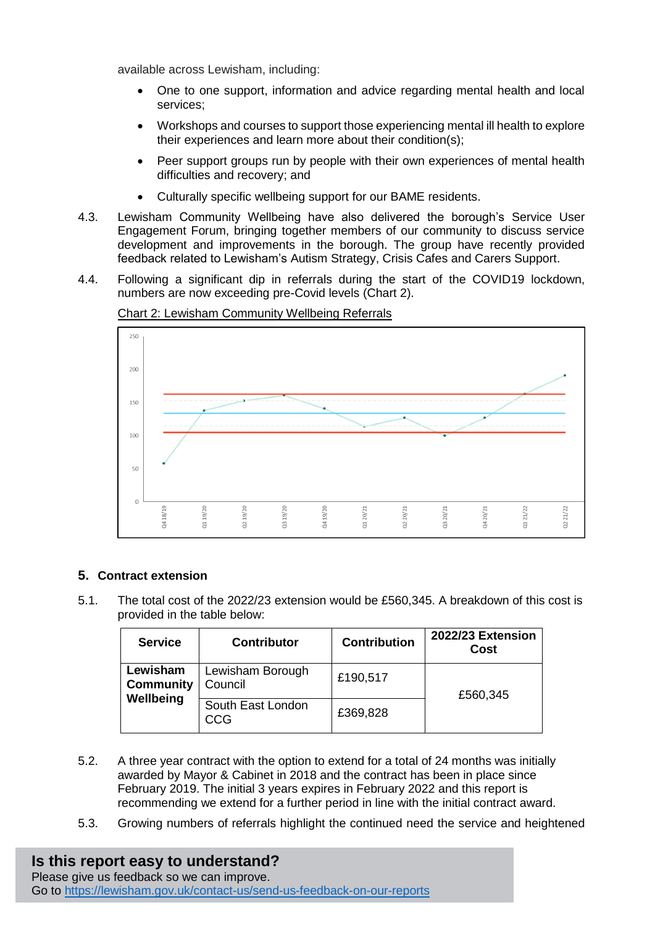available across Lewisham, including:

- One to one support, information and advice regarding mental health and local services;
- Workshops and courses to support those experiencing mental ill health to explore their experiences and learn more about their condition(s);
- Peer support groups run by people with their own experiences of mental health difficulties and recovery; and
- Culturally specific wellbeing support for our BAME residents.
- 4.3. Lewisham Community Wellbeing have also delivered the borough's Service User Engagement Forum, bringing together members of our community to discuss service development and improvements in the borough. The group have recently provided feedback related to Lewisham's Autism Strategy, Crisis Cafes and Carers Support.
- 4.4. Following a significant dip in referrals during the start of the COVID19 lockdown, numbers are now exceeding pre-Covid levels (Chart 2).



Chart 2: Lewisham Community Wellbeing Referrals

### **5. Contract extension**

5.1. The total cost of the 2022/23 extension would be £560,345. A breakdown of this cost is provided in the table below:

| <b>Service</b>                            | <b>Contributor</b>                      | <b>Contribution</b> | 2022/23 Extension<br>Cost |
|-------------------------------------------|-----------------------------------------|---------------------|---------------------------|
| Lewisham<br><b>Community</b><br>Wellbeing | Lewisham Borough<br>£190,517<br>Council |                     | £560,345                  |
|                                           | South East London<br>CCG                | £369,828            |                           |

- 5.2. A three year contract with the option to extend for a total of 24 months was initially awarded by Mayor & Cabinet in 2018 and the contract has been in place since February 2019. The initial 3 years expires in February 2022 and this report is recommending we extend for a further period in line with the initial contract award.
- 5.3. Growing numbers of referrals highlight the continued need the service and heightened

## **Is this report easy to understand?**

Please give us feedback so we can improve. Go to<https://lewisham.gov.uk/contact-us/send-us-feedback-on-our-reports>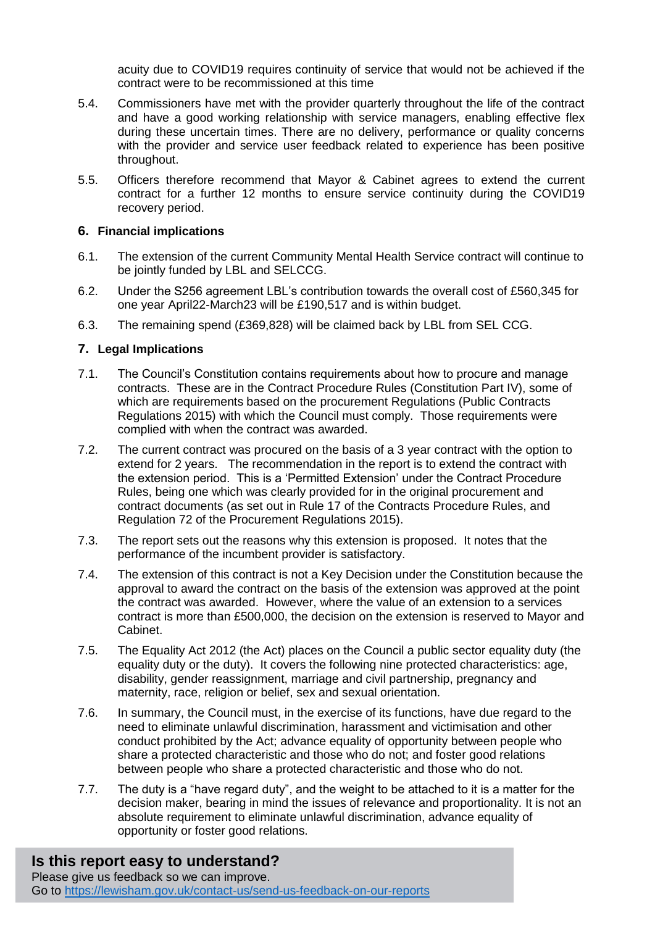acuity due to COVID19 requires continuity of service that would not be achieved if the contract were to be recommissioned at this time

- 5.4. Commissioners have met with the provider quarterly throughout the life of the contract and have a good working relationship with service managers, enabling effective flex during these uncertain times. There are no delivery, performance or quality concerns with the provider and service user feedback related to experience has been positive throughout.
- 5.5. Officers therefore recommend that Mayor & Cabinet agrees to extend the current contract for a further 12 months to ensure service continuity during the COVID19 recovery period.

#### **6. Financial implications**

- 6.1. The extension of the current Community Mental Health Service contract will continue to be jointly funded by LBL and SELCCG.
- 6.2. Under the S256 agreement LBL's contribution towards the overall cost of £560,345 for one year April22-March23 will be £190,517 and is within budget.
- 6.3. The remaining spend (£369,828) will be claimed back by LBL from SEL CCG.

### **7. Legal Implications**

- 7.1. The Council's Constitution contains requirements about how to procure and manage contracts. These are in the Contract Procedure Rules (Constitution Part IV), some of which are requirements based on the procurement Regulations (Public Contracts Regulations 2015) with which the Council must comply. Those requirements were complied with when the contract was awarded.
- 7.2. The current contract was procured on the basis of a 3 year contract with the option to extend for 2 years. The recommendation in the report is to extend the contract with the extension period. This is a 'Permitted Extension' under the Contract Procedure Rules, being one which was clearly provided for in the original procurement and contract documents (as set out in Rule 17 of the Contracts Procedure Rules, and Regulation 72 of the Procurement Regulations 2015).
- 7.3. The report sets out the reasons why this extension is proposed. It notes that the performance of the incumbent provider is satisfactory.
- 7.4. The extension of this contract is not a Key Decision under the Constitution because the approval to award the contract on the basis of the extension was approved at the point the contract was awarded. However, where the value of an extension to a services contract is more than £500,000, the decision on the extension is reserved to Mayor and Cabinet.
- 7.5. The Equality Act 2012 (the Act) places on the Council a public sector equality duty (the equality duty or the duty). It covers the following nine protected characteristics: age, disability, gender reassignment, marriage and civil partnership, pregnancy and maternity, race, religion or belief, sex and sexual orientation.
- 7.6. In summary, the Council must, in the exercise of its functions, have due regard to the need to eliminate unlawful discrimination, harassment and victimisation and other conduct prohibited by the Act; advance equality of opportunity between people who share a protected characteristic and those who do not; and foster good relations between people who share a protected characteristic and those who do not.
- 7.7. The duty is a "have regard duty", and the weight to be attached to it is a matter for the decision maker, bearing in mind the issues of relevance and proportionality. It is not an absolute requirement to eliminate unlawful discrimination, advance equality of opportunity or foster good relations.

## **Is this report easy to understand?**

Please give us feedback so we can improve. Go to<https://lewisham.gov.uk/contact-us/send-us-feedback-on-our-reports>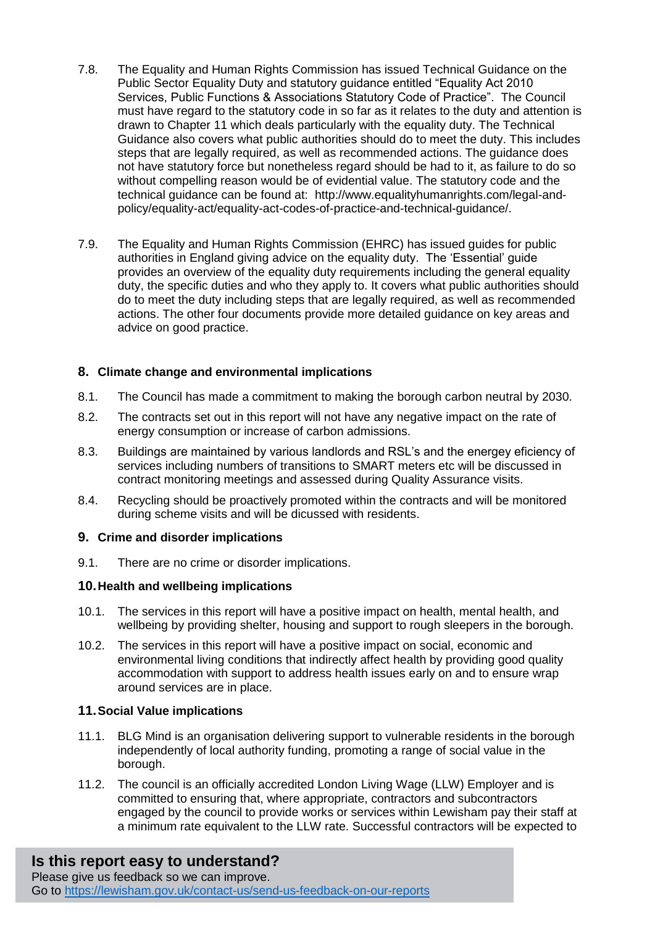- 7.8. The Equality and Human Rights Commission has issued Technical Guidance on the Public Sector Equality Duty and statutory guidance entitled "Equality Act 2010 Services, Public Functions & Associations Statutory Code of Practice". The Council must have regard to the statutory code in so far as it relates to the duty and attention is drawn to Chapter 11 which deals particularly with the equality duty. The Technical Guidance also covers what public authorities should do to meet the duty. This includes steps that are legally required, as well as recommended actions. The guidance does not have statutory force but nonetheless regard should be had to it, as failure to do so without compelling reason would be of evidential value. The statutory code and the technical guidance can be found at: [http://www.equalityhumanrights.com/legal-and](http://www.equalityhumanrights.com/legal-and-policy/equality-act/equality-act-codes-of-practice-and-technical-guidance/)[policy/equality-act/equality-act-codes-of-practice-and-technical-guidance/.](http://www.equalityhumanrights.com/legal-and-policy/equality-act/equality-act-codes-of-practice-and-technical-guidance/)
- 7.9. The Equality and Human Rights Commission (EHRC) has issued guides for public authorities in England giving advice on the equality duty. The 'Essential' guide provides an overview of the equality duty requirements including the general equality duty, the specific duties and who they apply to. It covers what public authorities should do to meet the duty including steps that are legally required, as well as recommended actions. The other four documents provide more detailed guidance on key areas and advice on good practice.

## **8. Climate change and environmental implications**

- 8.1. The Council has made a commitment to making the borough carbon neutral by 2030.
- 8.2. The contracts set out in this report will not have any negative impact on the rate of energy consumption or increase of carbon admissions.
- 8.3. Buildings are maintained by various landlords and RSL's and the energey eficiency of services including numbers of transitions to SMART meters etc will be discussed in contract monitoring meetings and assessed during Quality Assurance visits.
- 8.4. Recycling should be proactively promoted within the contracts and will be monitored during scheme visits and will be dicussed with residents.

#### **9. Crime and disorder implications**

9.1. There are no crime or disorder implications.

### **10.Health and wellbeing implications**

- 10.1. The services in this report will have a positive impact on health, mental health, and wellbeing by providing shelter, housing and support to rough sleepers in the borough.
- 10.2. The services in this report will have a positive impact on social, economic and environmental living conditions that indirectly affect health by providing good quality accommodation with support to address health issues early on and to ensure wrap around services are in place.

### **11.Social Value implications**

- 11.1. BLG Mind is an organisation delivering support to vulnerable residents in the borough independently of local authority funding, promoting a range of social value in the borough.
- 11.2. The council is an officially accredited London Living Wage (LLW) Employer and is committed to ensuring that, where appropriate, contractors and subcontractors engaged by the council to provide works or services within Lewisham pay their staff at a minimum rate equivalent to the LLW rate. Successful contractors will be expected to

## **Is this report easy to understand?**

Please give us feedback so we can improve. Go to<https://lewisham.gov.uk/contact-us/send-us-feedback-on-our-reports>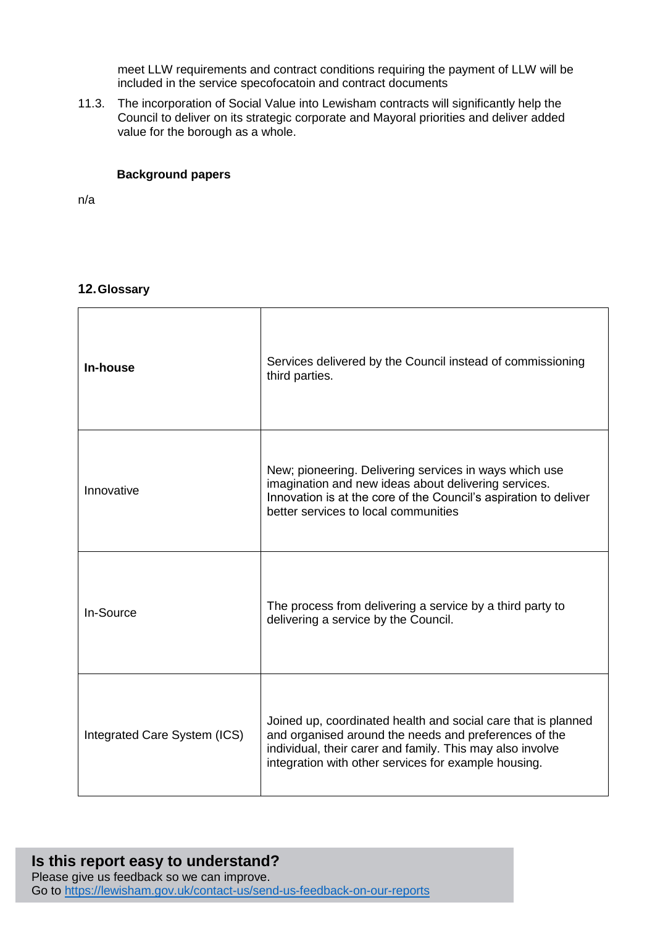meet LLW requirements and contract conditions requiring the payment of LLW will be included in the service specofocatoin and contract documents

11.3. The incorporation of Social Value into Lewisham contracts will significantly help the Council to deliver on its strategic corporate and Mayoral priorities and deliver added value for the borough as a whole.

#### **Background papers**

n/a

#### **12.Glossary**

| In-house                     | Services delivered by the Council instead of commissioning<br>third parties.                                                                                                                                                                |
|------------------------------|---------------------------------------------------------------------------------------------------------------------------------------------------------------------------------------------------------------------------------------------|
| Innovative                   | New; pioneering. Delivering services in ways which use<br>imagination and new ideas about delivering services.<br>Innovation is at the core of the Council's aspiration to deliver<br>better services to local communities                  |
| In-Source                    | The process from delivering a service by a third party to<br>delivering a service by the Council.                                                                                                                                           |
| Integrated Care System (ICS) | Joined up, coordinated health and social care that is planned<br>and organised around the needs and preferences of the<br>individual, their carer and family. This may also involve<br>integration with other services for example housing. |

#### **Is this report easy to understand?** Please give us feedback so we can improve. Go to<https://lewisham.gov.uk/contact-us/send-us-feedback-on-our-reports>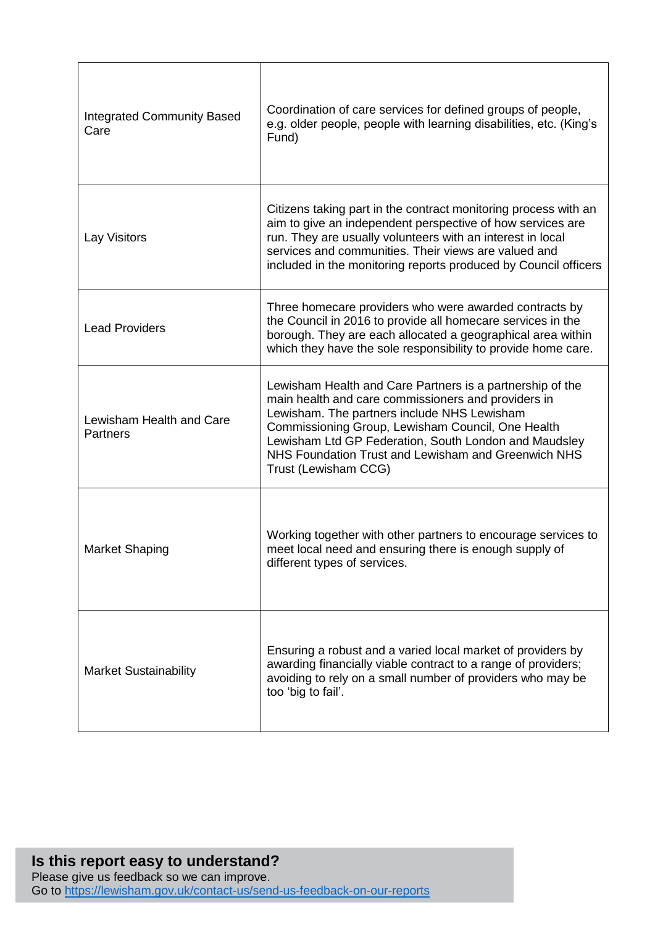| <b>Integrated Community Based</b><br>Care   | Coordination of care services for defined groups of people,<br>e.g. older people, people with learning disabilities, etc. (King's<br>Fund)                                                                                                                                                                                                                   |
|---------------------------------------------|--------------------------------------------------------------------------------------------------------------------------------------------------------------------------------------------------------------------------------------------------------------------------------------------------------------------------------------------------------------|
| Lay Visitors                                | Citizens taking part in the contract monitoring process with an<br>aim to give an independent perspective of how services are<br>run. They are usually volunteers with an interest in local<br>services and communities. Their views are valued and<br>included in the monitoring reports produced by Council officers                                       |
| <b>Lead Providers</b>                       | Three homecare providers who were awarded contracts by<br>the Council in 2016 to provide all homecare services in the<br>borough. They are each allocated a geographical area within<br>which they have the sole responsibility to provide home care.                                                                                                        |
| Lewisham Health and Care<br><b>Partners</b> | Lewisham Health and Care Partners is a partnership of the<br>main health and care commissioners and providers in<br>Lewisham. The partners include NHS Lewisham<br>Commissioning Group, Lewisham Council, One Health<br>Lewisham Ltd GP Federation, South London and Maudsley<br>NHS Foundation Trust and Lewisham and Greenwich NHS<br>Trust (Lewisham CCG) |
| <b>Market Shaping</b>                       | Working together with other partners to encourage services to<br>meet local need and ensuring there is enough supply of<br>different types of services.                                                                                                                                                                                                      |
| <b>Market Sustainability</b>                | Ensuring a robust and a varied local market of providers by<br>awarding financially viable contract to a range of providers;<br>avoiding to rely on a small number of providers who may be<br>too 'big to fail'.                                                                                                                                             |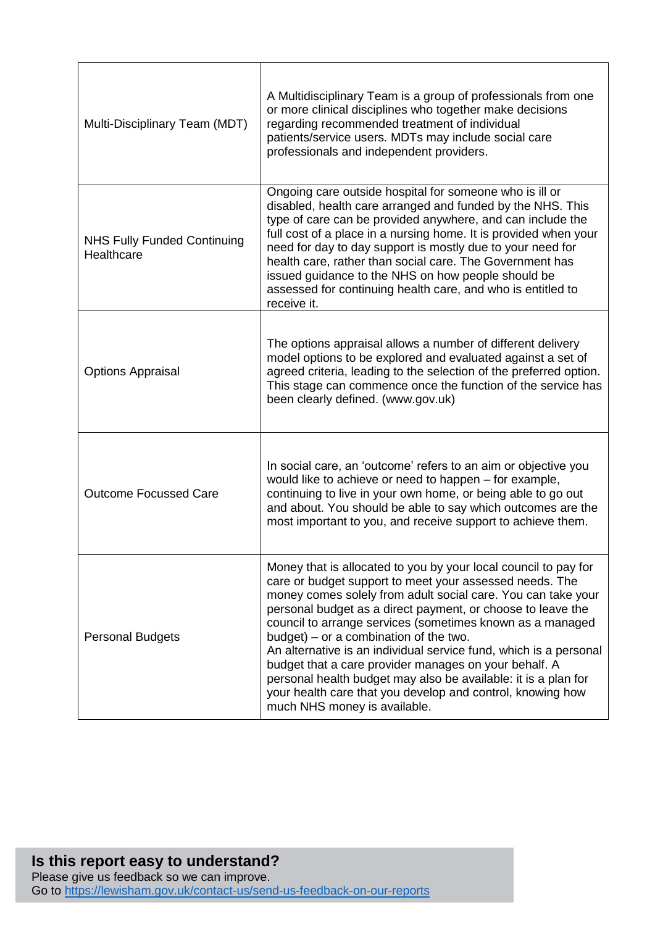| Multi-Disciplinary Team (MDT)                    | A Multidisciplinary Team is a group of professionals from one<br>or more clinical disciplines who together make decisions<br>regarding recommended treatment of individual<br>patients/service users. MDTs may include social care<br>professionals and independent providers.                                                                                                                                                                                                                                                                                                                                                                                   |
|--------------------------------------------------|------------------------------------------------------------------------------------------------------------------------------------------------------------------------------------------------------------------------------------------------------------------------------------------------------------------------------------------------------------------------------------------------------------------------------------------------------------------------------------------------------------------------------------------------------------------------------------------------------------------------------------------------------------------|
| <b>NHS Fully Funded Continuing</b><br>Healthcare | Ongoing care outside hospital for someone who is ill or<br>disabled, health care arranged and funded by the NHS. This<br>type of care can be provided anywhere, and can include the<br>full cost of a place in a nursing home. It is provided when your<br>need for day to day support is mostly due to your need for<br>health care, rather than social care. The Government has<br>issued guidance to the NHS on how people should be<br>assessed for continuing health care, and who is entitled to<br>receive it.                                                                                                                                            |
| <b>Options Appraisal</b>                         | The options appraisal allows a number of different delivery<br>model options to be explored and evaluated against a set of<br>agreed criteria, leading to the selection of the preferred option.<br>This stage can commence once the function of the service has<br>been clearly defined. (www.gov.uk)                                                                                                                                                                                                                                                                                                                                                           |
| <b>Outcome Focussed Care</b>                     | In social care, an 'outcome' refers to an aim or objective you<br>would like to achieve or need to happen – for example,<br>continuing to live in your own home, or being able to go out<br>and about. You should be able to say which outcomes are the<br>most important to you, and receive support to achieve them.                                                                                                                                                                                                                                                                                                                                           |
| <b>Personal Budgets</b>                          | Money that is allocated to you by your local council to pay for<br>care or budget support to meet your assessed needs. The<br>money comes solely from adult social care. You can take your<br>personal budget as a direct payment, or choose to leave the<br>council to arrange services (sometimes known as a managed<br>$budget) - or a combination of the two.$<br>An alternative is an individual service fund, which is a personal<br>budget that a care provider manages on your behalf. A<br>personal health budget may also be available: it is a plan for<br>your health care that you develop and control, knowing how<br>much NHS money is available. |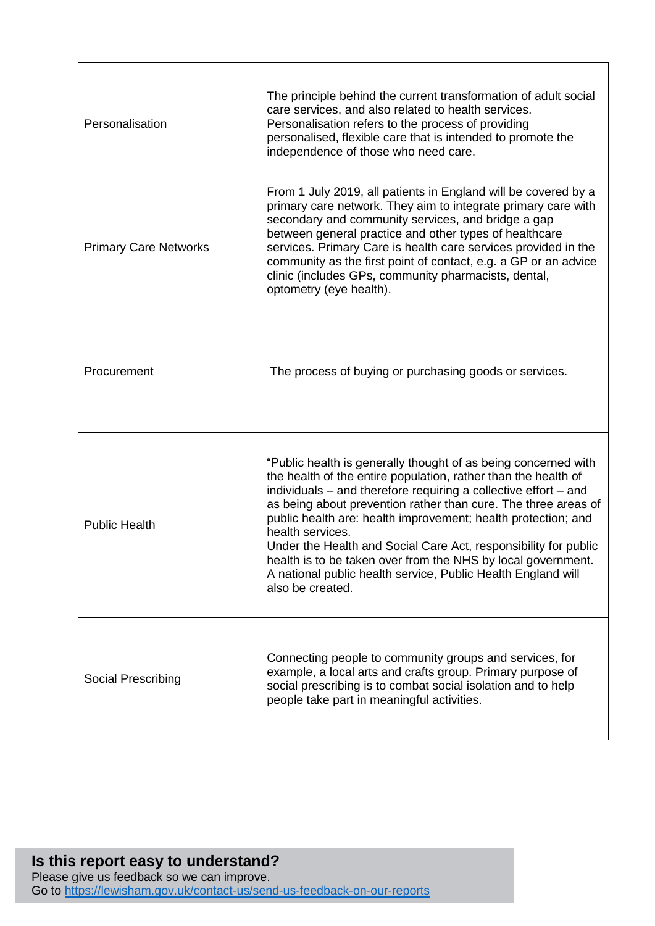| Personalisation              | The principle behind the current transformation of adult social<br>care services, and also related to health services.<br>Personalisation refers to the process of providing<br>personalised, flexible care that is intended to promote the<br>independence of those who need care.                                                                                                                                                                                                                                                                                               |
|------------------------------|-----------------------------------------------------------------------------------------------------------------------------------------------------------------------------------------------------------------------------------------------------------------------------------------------------------------------------------------------------------------------------------------------------------------------------------------------------------------------------------------------------------------------------------------------------------------------------------|
| <b>Primary Care Networks</b> | From 1 July 2019, all patients in England will be covered by a<br>primary care network. They aim to integrate primary care with<br>secondary and community services, and bridge a gap<br>between general practice and other types of healthcare<br>services. Primary Care is health care services provided in the<br>community as the first point of contact, e.g. a GP or an advice<br>clinic (includes GPs, community pharmacists, dental,<br>optometry (eye health).                                                                                                           |
| Procurement                  | The process of buying or purchasing goods or services.                                                                                                                                                                                                                                                                                                                                                                                                                                                                                                                            |
| <b>Public Health</b>         | "Public health is generally thought of as being concerned with<br>the health of the entire population, rather than the health of<br>individuals – and therefore requiring a collective effort – and<br>as being about prevention rather than cure. The three areas of<br>public health are: health improvement; health protection; and<br>health services.<br>Under the Health and Social Care Act, responsibility for public<br>health is to be taken over from the NHS by local government.<br>A national public health service, Public Health England will<br>also be created. |
| Social Prescribing           | Connecting people to community groups and services, for<br>example, a local arts and crafts group. Primary purpose of<br>social prescribing is to combat social isolation and to help<br>people take part in meaningful activities.                                                                                                                                                                                                                                                                                                                                               |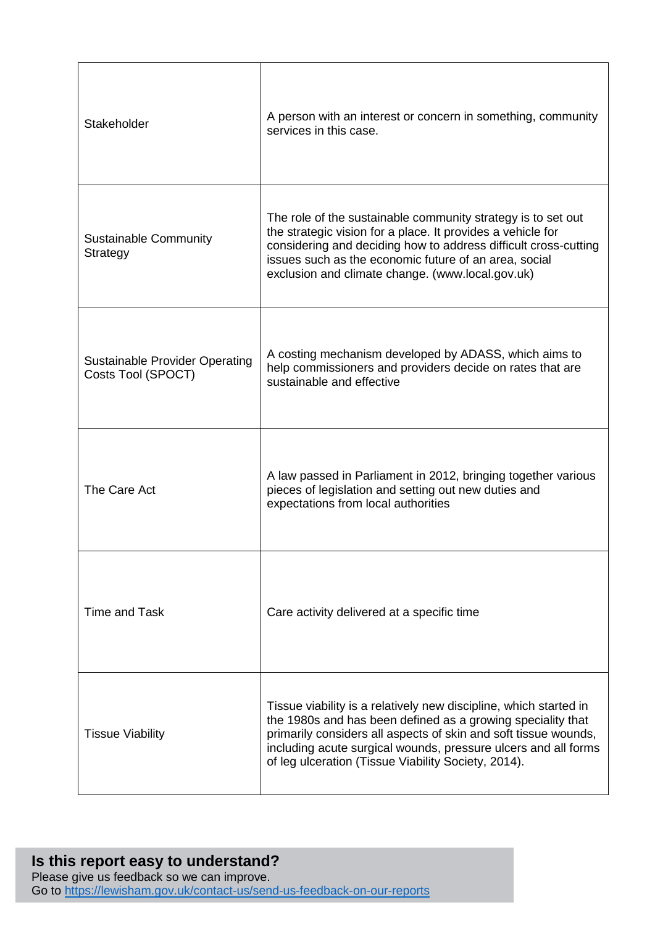| Stakeholder                                                 | A person with an interest or concern in something, community<br>services in this case.                                                                                                                                                                                                                                       |
|-------------------------------------------------------------|------------------------------------------------------------------------------------------------------------------------------------------------------------------------------------------------------------------------------------------------------------------------------------------------------------------------------|
| <b>Sustainable Community</b><br>Strategy                    | The role of the sustainable community strategy is to set out<br>the strategic vision for a place. It provides a vehicle for<br>considering and deciding how to address difficult cross-cutting<br>issues such as the economic future of an area, social<br>exclusion and climate change. (www.local.gov.uk)                  |
| <b>Sustainable Provider Operating</b><br>Costs Tool (SPOCT) | A costing mechanism developed by ADASS, which aims to<br>help commissioners and providers decide on rates that are<br>sustainable and effective                                                                                                                                                                              |
| The Care Act                                                | A law passed in Parliament in 2012, bringing together various<br>pieces of legislation and setting out new duties and<br>expectations from local authorities                                                                                                                                                                 |
| Time and Task                                               | Care activity delivered at a specific time                                                                                                                                                                                                                                                                                   |
| <b>Tissue Viability</b>                                     | Tissue viability is a relatively new discipline, which started in<br>the 1980s and has been defined as a growing speciality that<br>primarily considers all aspects of skin and soft tissue wounds,<br>including acute surgical wounds, pressure ulcers and all forms<br>of leg ulceration (Tissue Viability Society, 2014). |

### **Is this report easy to understand?** Please give us feedback so we can improve. Go to<https://lewisham.gov.uk/contact-us/send-us-feedback-on-our-reports>